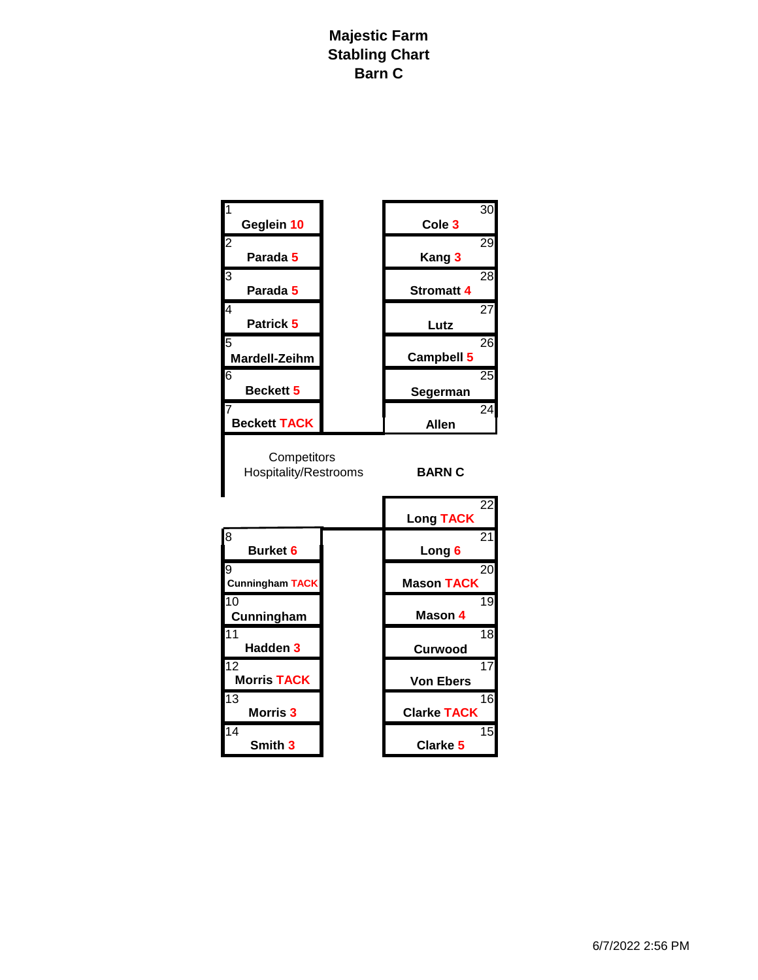## **Majestic Farm Stabling Chart Barn C**

| $\overline{1}$<br>Geglein 10                | 30<br>Cole <sub>3</sub>                |
|---------------------------------------------|----------------------------------------|
| $\overline{2}$<br>Parada 5                  | 29<br>Kang 3                           |
| 3<br>Parada 5                               | 28<br><b>Stromatt 4</b>                |
| 4<br>Patrick 5                              | 27<br>Lutz                             |
| 5<br><b>Mardell-Zeihm</b>                   | 26<br>Campbell 5                       |
| 6<br>Beckett 5                              | 25<br>Segerman                         |
| $\overline{7}$<br><b>Beckett TACK</b>       | 24<br><b>Allen</b>                     |
| Competitors<br><b>Hospitality/Restrooms</b> | <b>BARN C</b>                          |
|                                             | $\overline{22}$<br><b>Long TACK</b>    |
| 8<br><b>Burket 6</b>                        | 21<br>Long 6                           |
| 9<br><b>Cunningham TACK</b>                 | 20<br><b>Mason TACK</b>                |
| $\overline{10}$<br>Cunningham               | 19<br>Mason 4                          |
| 11<br>Hadden <sub>3</sub>                   | $\overline{18}$<br><b>Curwood</b>      |
| $\overline{12}$<br><b>Morris TACK</b>       | 17<br><b>Von Ebers</b>                 |
| $\overline{13}$<br>Morris 3                 | $\overline{16}$<br><b>Clarke TACK</b>  |
| 14<br>Smith 3                               | $\overline{15}$<br>Clarke <sub>5</sub> |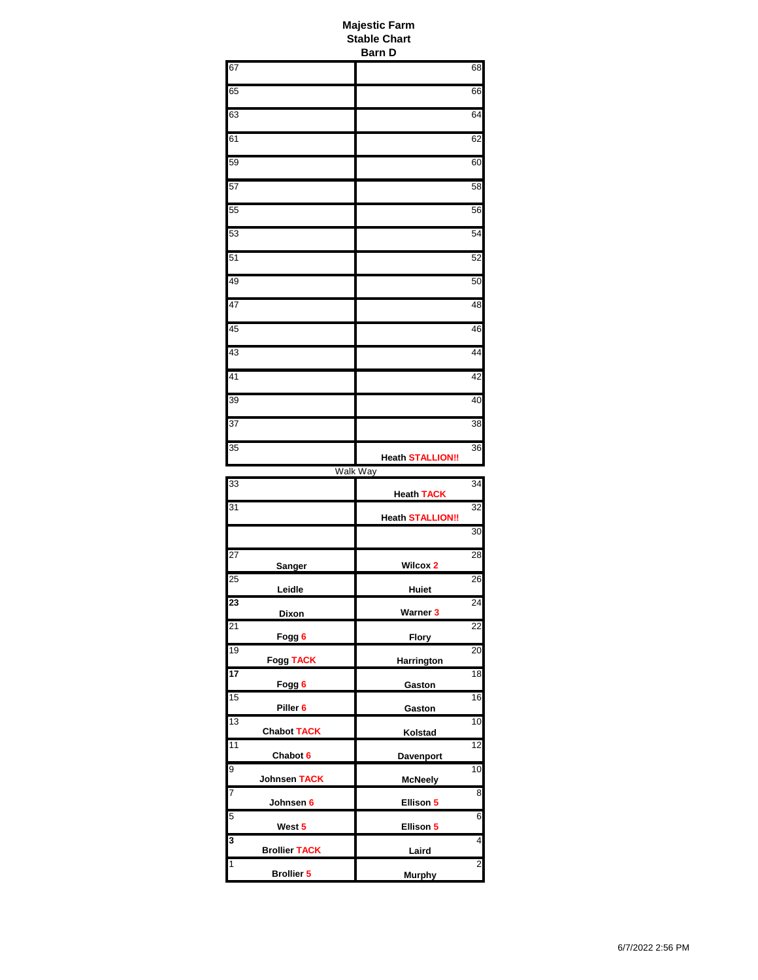| <b>Majestic Farm</b><br><b>Stable Chart</b><br><b>Barn D</b> |                         |                         |
|--------------------------------------------------------------|-------------------------|-------------------------|
| 67                                                           |                         | 68                      |
| 65                                                           |                         | 66                      |
| 63                                                           |                         | 64                      |
| 61                                                           |                         | 62                      |
| 59                                                           |                         | 60                      |
| 57                                                           |                         | 58                      |
| 55                                                           |                         | 56                      |
| 53                                                           |                         | 54                      |
| 51                                                           |                         | 52                      |
| 49                                                           |                         | 50                      |
| 47                                                           |                         | 48                      |
| 45                                                           |                         | 46                      |
| 43                                                           |                         | 44                      |
| 41                                                           |                         | 42                      |
| 39                                                           |                         | 40                      |
| 37                                                           |                         | 38                      |
| 35                                                           | <b>Heath STALLION!!</b> | 36                      |
|                                                              | <b>Walk Way</b>         |                         |
| $\overline{3}3$                                              | <b>Heath TACK</b>       | 34                      |
| 31                                                           | <b>Heath STALLION!!</b> | 32                      |
|                                                              |                         | 30                      |
| 27<br>Sanger                                                 | Wilcox 2                | 28                      |
| 25<br>Leidle                                                 | Huiet                   | 26                      |
| 23<br>Dixon                                                  | Warner 3                | 24                      |
| 21<br>Fogg 6                                                 | <b>Flory</b>            | 22                      |
| 19<br><b>Fogg TACK</b>                                       | Harrington              | 20                      |
| 17<br>Fogg 6                                                 | Gaston                  | 18                      |
| 15<br>Piller <sub>6</sub>                                    | Gaston                  | 16                      |
| $\overline{13}$<br><b>Chabot TACK</b>                        | Kolstad                 | 10                      |
| 11<br>Chabot 6                                               | Davenport               | 12                      |
| 9<br>Johnsen TACK                                            | <b>McNeely</b>          | 10                      |
| 7<br>Johnsen 6                                               | Ellison 5               | $\overline{8}$          |
| 5<br>West 5                                                  | Ellison 5               | 6                       |
| 3<br><b>Brollier TACK</b>                                    | Laird                   | 4                       |
| $\overline{\mathbf{1}}$<br><b>Brollier 5</b>                 | <b>Murphy</b>           | $\overline{\mathbf{c}}$ |